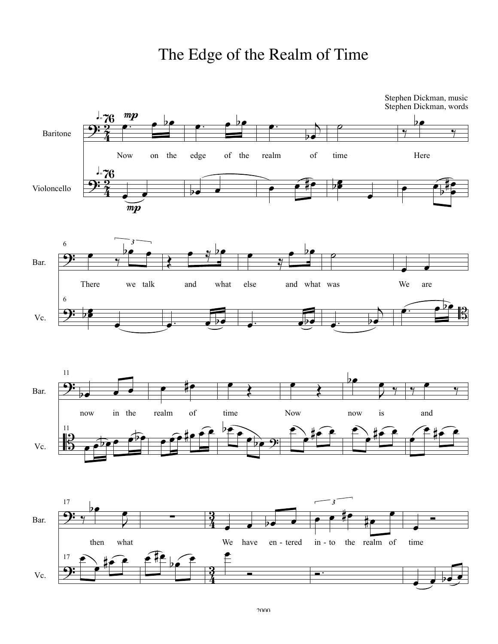## The Edge of the Realm of Time